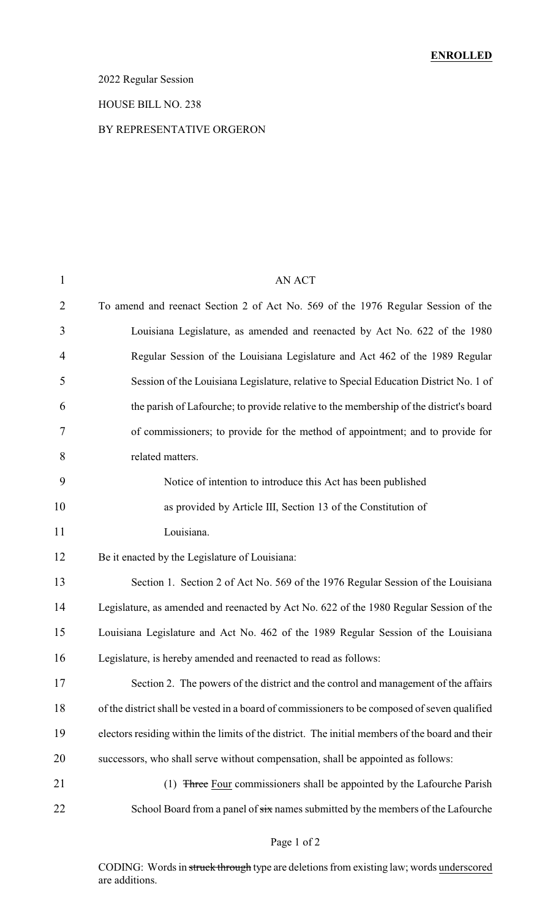### 2022 Regular Session

#### HOUSE BILL NO. 238

#### BY REPRESENTATIVE ORGERON

| $\mathbf{1}$   | AN ACT                                                                                          |
|----------------|-------------------------------------------------------------------------------------------------|
| $\overline{2}$ | To amend and reenact Section 2 of Act No. 569 of the 1976 Regular Session of the                |
| 3              | Louisiana Legislature, as amended and reenacted by Act No. 622 of the 1980                      |
| $\overline{4}$ | Regular Session of the Louisiana Legislature and Act 462 of the 1989 Regular                    |
| 5              | Session of the Louisiana Legislature, relative to Special Education District No. 1 of           |
| 6              | the parish of Lafourche; to provide relative to the membership of the district's board          |
| 7              | of commissioners; to provide for the method of appointment; and to provide for                  |
| 8              | related matters.                                                                                |
| 9              | Notice of intention to introduce this Act has been published                                    |
| 10             | as provided by Article III, Section 13 of the Constitution of                                   |
| 11             | Louisiana.                                                                                      |
| 12             | Be it enacted by the Legislature of Louisiana:                                                  |
| 13             | Section 1. Section 2 of Act No. 569 of the 1976 Regular Session of the Louisiana                |
| 14             | Legislature, as amended and reenacted by Act No. 622 of the 1980 Regular Session of the         |
| 15             | Louisiana Legislature and Act No. 462 of the 1989 Regular Session of the Louisiana              |
| 16             | Legislature, is hereby amended and reenacted to read as follows:                                |
| 17             | Section 2. The powers of the district and the control and management of the affairs             |
| 18             | of the district shall be vested in a board of commissioners to be composed of seven qualified   |
| 19             | electors residing within the limits of the district. The initial members of the board and their |
| 20             | successors, who shall serve without compensation, shall be appointed as follows:                |
| 21             | (1) Three Four commissioners shall be appointed by the Lafourche Parish                         |
| 22             | School Board from a panel of six names submitted by the members of the Lafourche                |
|                |                                                                                                 |

### Page 1 of 2

CODING: Words in struck through type are deletions from existing law; words underscored are additions.